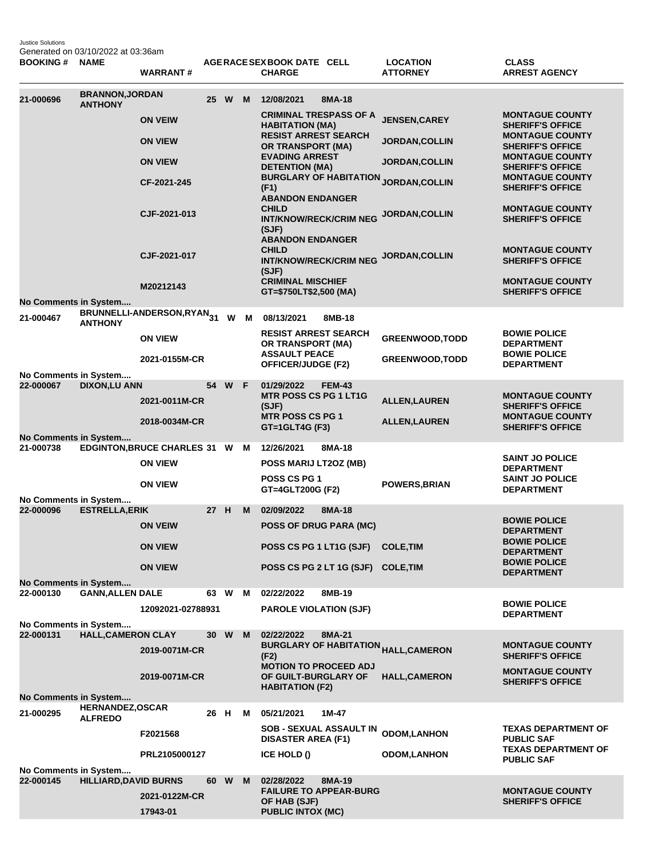Justice Solutions Generated on 03/10/2022 at 03:36am

| <b>BOOKING#</b>                    | <b>NAME</b>                               | <b>WARRANT#</b>                        |      |        |     | AGERACE SEX BOOK DATE CELL<br><b>CHARGE</b>                                       |               | <b>LOCATION</b><br><b>ATTORNEY</b>             | <b>CLASS</b><br><b>ARREST AGENCY</b>              |
|------------------------------------|-------------------------------------------|----------------------------------------|------|--------|-----|-----------------------------------------------------------------------------------|---------------|------------------------------------------------|---------------------------------------------------|
| 21-000696                          | <b>BRANNON, JORDAN</b><br><b>ANTHONY</b>  |                                        |      | 25 W   | M   | 12/08/2021                                                                        | 8MA-18        |                                                |                                                   |
|                                    |                                           | <b>ON VEIW</b>                         |      |        |     | <b>CRIMINAL TRESPASS OF A</b><br><b>HABITATION (MA)</b>                           |               | <b>JENSEN, CAREY</b>                           | <b>MONTAGUE COUNTY</b><br><b>SHERIFF'S OFFICE</b> |
|                                    |                                           | <b>ON VIEW</b>                         |      |        |     | <b>RESIST ARREST SEARCH</b><br>OR TRANSPORT (MA)                                  |               | <b>JORDAN, COLLIN</b>                          | <b>MONTAGUE COUNTY</b><br><b>SHERIFF'S OFFICE</b> |
|                                    |                                           | <b>ON VIEW</b>                         |      |        |     | <b>EVADING ARREST</b><br><b>DETENTION (MA)</b>                                    |               | <b>JORDAN, COLLIN</b>                          | <b>MONTAGUE COUNTY</b><br><b>SHERIFF'S OFFICE</b> |
|                                    |                                           | CF-2021-245                            |      |        |     | (F1)<br><b>ABANDON ENDANGER</b>                                                   |               | <b>BURGLARY OF HABITATION JORDAN,COLLIN</b>    | <b>MONTAGUE COUNTY</b><br><b>SHERIFF'S OFFICE</b> |
|                                    |                                           | CJF-2021-013                           |      |        |     | <b>CHILD</b><br><b>INT/KNOW/RECK/CRIM NEG</b><br>(SJF)<br><b>ABANDON ENDANGER</b> |               | <b>JORDAN, COLLIN</b>                          | <b>MONTAGUE COUNTY</b><br><b>SHERIFF'S OFFICE</b> |
|                                    |                                           | CJF-2021-017                           |      |        |     | <b>CHILD</b><br><b>INT/KNOW/RECK/CRIM NEG</b><br>(SJF)                            |               | JORDAN, COLLIN                                 | <b>MONTAGUE COUNTY</b><br><b>SHERIFF'S OFFICE</b> |
|                                    |                                           | M20212143                              |      |        |     | <b>CRIMINAL MISCHIEF</b><br>GT=\$750LT\$2,500 (MA)                                |               |                                                | <b>MONTAGUE COUNTY</b><br><b>SHERIFF'S OFFICE</b> |
| No Comments in System              |                                           | BRUNNELLI-ANDERSON, RYAN <sub>31</sub> |      |        |     |                                                                                   |               |                                                |                                                   |
| 21-000467                          | <b>ANTHONY</b>                            |                                        |      |        | W M | 08/13/2021<br><b>RESIST ARREST SEARCH</b>                                         | 8MB-18        |                                                | <b>BOWIE POLICE</b>                               |
|                                    |                                           | <b>ON VIEW</b>                         |      |        |     | OR TRANSPORT (MA)<br><b>ASSAULT PEACE</b>                                         |               | <b>GREENWOOD, TODD</b>                         | <b>DEPARTMENT</b><br><b>BOWIE POLICE</b>          |
| No Comments in System              |                                           | 2021-0155M-CR                          |      |        |     | OFFICER/JUDGE (F2)                                                                |               | <b>GREENWOOD, TODD</b>                         | <b>DEPARTMENT</b>                                 |
| 22-000067                          | <b>DIXON,LU ANN</b>                       |                                        |      | 54 W F |     | 01/29/2022                                                                        | <b>FEM-43</b> |                                                |                                                   |
|                                    |                                           | 2021-0011M-CR                          |      |        |     | <b>MTR POSS CS PG 1 LT1G</b><br>(SJF)                                             |               | <b>ALLEN, LAUREN</b>                           | <b>MONTAGUE COUNTY</b><br><b>SHERIFF'S OFFICE</b> |
|                                    |                                           | 2018-0034M-CR                          |      |        |     | <b>MTR POSS CS PG 1</b><br>GT=1GLT4G (F3)                                         |               | <b>ALLEN, LAUREN</b>                           | <b>MONTAGUE COUNTY</b><br><b>SHERIFF'S OFFICE</b> |
| No Comments in System<br>21-000738 |                                           | EDGINTON, BRUCE CHARLES 31 W           |      |        | M   | 12/26/2021                                                                        | 8MA-18        |                                                |                                                   |
|                                    |                                           | <b>ON VIEW</b>                         |      |        |     | POSS MARIJ LT2OZ (MB)                                                             |               |                                                | <b>SAINT JO POLICE</b><br><b>DEPARTMENT</b>       |
|                                    |                                           | <b>ON VIEW</b>                         |      |        |     | POSS CS PG 1<br>GT=4GLT200G (F2)                                                  |               | <b>POWERS, BRIAN</b>                           | <b>SAINT JO POLICE</b><br><b>DEPARTMENT</b>       |
| No Comments in System<br>22-000096 | <b>ESTRELLA, ERIK</b>                     |                                        | 27 H |        | M   | 02/09/2022                                                                        | 8MA-18        |                                                |                                                   |
|                                    |                                           | <b>ON VEIW</b>                         |      |        |     | POSS OF DRUG PARA (MC)                                                            |               |                                                | <b>BOWIE POLICE</b><br><b>DEPARTMENT</b>          |
|                                    |                                           | <b>ON VIEW</b>                         |      |        |     | POSS CS PG 1 LT1G (SJF)                                                           |               | <b>COLE, TIM</b>                               | <b>BOWIE POLICE</b><br><b>DEPARTMENT</b>          |
|                                    |                                           | <b>ON VIEW</b>                         |      |        |     | POSS CS PG 2 LT 1G (SJF) COLE, TIM                                                |               |                                                | <b>BOWIE POLICE</b><br><b>DEPARTMENT</b>          |
| No Comments in System<br>22-000130 | <b>GANN, ALLEN DALE</b>                   |                                        |      | 63 W M |     | 02/22/2022                                                                        | 8MB-19        |                                                |                                                   |
|                                    |                                           | 12092021-02788931                      |      |        |     | <b>PAROLE VIOLATION (SJF)</b>                                                     |               |                                                | <b>BOWIE POLICE</b>                               |
| No Comments in System              |                                           |                                        |      |        |     |                                                                                   |               |                                                | <b>DEPARTMENT</b>                                 |
| 22-000131                          | <b>HALL, CAMERON CLAY</b>                 |                                        | 30 W |        | M   | 02/22/2022                                                                        | 8MA-21        |                                                |                                                   |
|                                    |                                           | 2019-0071M-CR                          |      |        |     | (F2)                                                                              |               | BURGLARY OF HABITATION <sub>HALL,CAMERON</sub> | <b>MONTAGUE COUNTY</b><br><b>SHERIFF'S OFFICE</b> |
| No Comments in System              |                                           | 2019-0071M-CR                          |      |        |     | <b>MOTION TO PROCEED ADJ</b><br>OF GUILT-BURGLARY OF<br><b>HABITATION (F2)</b>    |               | <b>HALL, CAMERON</b>                           | <b>MONTAGUE COUNTY</b><br><b>SHERIFF'S OFFICE</b> |
| 21-000295                          | <b>HERNANDEZ, OSCAR</b><br><b>ALFREDO</b> |                                        | 26 H |        | М   | 05/21/2021                                                                        | 1M-47         |                                                |                                                   |
|                                    |                                           | F2021568                               |      |        |     | SOB - SEXUAL ASSAULT IN<br><b>DISASTER AREA (F1)</b>                              |               | <b>ODOM,LANHON</b>                             | <b>TEXAS DEPARTMENT OF</b><br><b>PUBLIC SAF</b>   |
|                                    |                                           | PRL2105000127                          |      |        |     | <b>ICE HOLD ()</b>                                                                |               | <b>ODOM, LANHON</b>                            | <b>TEXAS DEPARTMENT OF</b><br><b>PUBLIC SAF</b>   |
| No Comments in System              |                                           |                                        |      |        |     |                                                                                   |               |                                                |                                                   |
| 22-000145                          | <b>HILLIARD, DAVID BURNS</b>              |                                        | 60   | W      | M   | 02/28/2022<br><b>FAILURE TO APPEAR-BURG</b>                                       | 8MA-19        |                                                | <b>MONTAGUE COUNTY</b>                            |
|                                    |                                           | 2021-0122M-CR<br>17943-01              |      |        |     | OF HAB (SJF)<br><b>PUBLIC INTOX (MC)</b>                                          |               |                                                | <b>SHERIFF'S OFFICE</b>                           |
|                                    |                                           |                                        |      |        |     |                                                                                   |               |                                                |                                                   |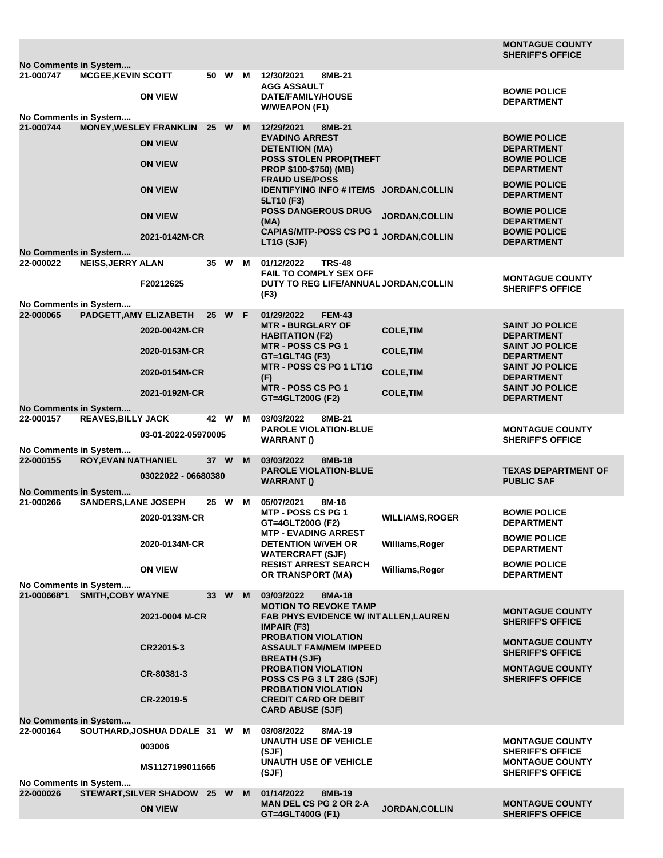| No Comments in System              |                                                        |                                       |                 |      |   |                                                                                      |                        | <b>MONTAGUE COUNTY</b><br><b>SHERIFF'S OFFICE</b> |  |
|------------------------------------|--------------------------------------------------------|---------------------------------------|-----------------|------|---|--------------------------------------------------------------------------------------|------------------------|---------------------------------------------------|--|
| 21-000747                          | <b>MCGEE, KEVIN SCOTT</b>                              |                                       |                 | 50 W | M | 12/30/2021<br>8MB-21                                                                 |                        |                                                   |  |
|                                    |                                                        | <b>ON VIEW</b>                        |                 |      |   | <b>AGG ASSAULT</b><br><b>DATE/FAMILY/HOUSE</b><br><b>W/WEAPON (F1)</b>               |                        | <b>BOWIE POLICE</b><br><b>DEPARTMENT</b>          |  |
| No Comments in System<br>21-000744 |                                                        | <b>MONEY, WESLEY FRANKLIN</b>         | 25 W M          |      |   | 12/29/2021<br>8MB-21                                                                 |                        |                                                   |  |
|                                    |                                                        | <b>ON VIEW</b>                        |                 |      |   | <b>EVADING ARREST</b><br><b>DETENTION (MA)</b>                                       |                        | <b>BOWIE POLICE</b><br><b>DEPARTMENT</b>          |  |
|                                    |                                                        | <b>ON VIEW</b>                        |                 |      |   | POSS STOLEN PROP(THEFT<br>PROP \$100-\$750) (MB)<br><b>FRAUD USE/POSS</b>            |                        | <b>BOWIE POLICE</b><br><b>DEPARTMENT</b>          |  |
|                                    |                                                        | <b>ON VIEW</b>                        |                 |      |   | IDENTIFYING INFO # ITEMS JORDAN, COLLIN<br>5LT10 (F3)                                |                        | <b>BOWIE POLICE</b><br><b>DEPARTMENT</b>          |  |
|                                    |                                                        | <b>ON VIEW</b>                        |                 |      |   | <b>POSS DANGEROUS DRUG</b><br>(MA)                                                   | <b>JORDAN, COLLIN</b>  | <b>BOWIE POLICE</b><br><b>DEPARTMENT</b>          |  |
|                                    |                                                        | 2021-0142M-CR                         |                 |      |   | <b>CAPIAS/MTP-POSS CS PG 1</b><br>LT1G (SJF)                                         | <b>JORDAN, COLLIN</b>  | <b>BOWIE POLICE</b><br><b>DEPARTMENT</b>          |  |
| No Comments in System<br>22-000022 | <b>NEISS, JERRY ALAN</b>                               |                                       | 35              | W    | M | <b>TRS-48</b><br>01/12/2022                                                          |                        |                                                   |  |
|                                    |                                                        | F20212625                             |                 |      |   | <b>FAIL TO COMPLY SEX OFF</b><br>DUTY TO REG LIFE/ANNUAL JORDAN, COLLIN              |                        | <b>MONTAGUE COUNTY</b>                            |  |
|                                    |                                                        |                                       |                 |      |   | (F3)                                                                                 |                        | <b>SHERIFF'S OFFICE</b>                           |  |
| No Comments in System<br>22-000065 |                                                        |                                       | 25 <sub>2</sub> |      |   | 01/29/2022<br><b>FEM-43</b>                                                          |                        |                                                   |  |
|                                    | PADGETT, AMY ELIZABETH                                 | 2020-0042M-CR                         |                 | W F  |   | <b>MTR - BURGLARY OF</b><br><b>HABITATION (F2)</b>                                   | <b>COLE, TIM</b>       | <b>SAINT JO POLICE</b><br><b>DEPARTMENT</b>       |  |
|                                    |                                                        | 2020-0153M-CR                         |                 |      |   | <b>MTR - POSS CS PG 1</b><br>GT=1GLT4G (F3)                                          | <b>COLE, TIM</b>       | <b>SAINT JO POLICE</b><br><b>DEPARTMENT</b>       |  |
|                                    |                                                        | 2020-0154M-CR                         |                 |      |   | <b>MTR - POSS CS PG 1 LT1G</b><br>(F)                                                | <b>COLE, TIM</b>       | <b>SAINT JO POLICE</b><br><b>DEPARTMENT</b>       |  |
|                                    |                                                        | 2021-0192M-CR                         |                 |      |   | <b>MTR - POSS CS PG 1</b><br>GT=4GLT200G (F2)                                        | <b>COLE, TIM</b>       | <b>SAINT JO POLICE</b><br><b>DEPARTMENT</b>       |  |
| No Comments in System              |                                                        |                                       |                 |      |   |                                                                                      |                        |                                                   |  |
| 22-000157                          | <b>REAVES, BILLY JACK</b>                              | 03-01-2022-05970005                   | 42 W            |      | м | 03/03/2022<br>8MB-21<br><b>PAROLE VIOLATION-BLUE</b><br>WARRANT()                    |                        | <b>MONTAGUE COUNTY</b><br><b>SHERIFF'S OFFICE</b> |  |
| No Comments in System<br>22-000155 | <b>ROY, EVAN NATHANIEL</b>                             |                                       | 37 W            |      | M | 03/03/2022<br>8MB-18                                                                 |                        |                                                   |  |
| No Comments in System              |                                                        | 03022022 - 06680380                   |                 |      |   | <b>PAROLE VIOLATION-BLUE</b><br><b>WARRANT()</b>                                     |                        | <b>TEXAS DEPARTMENT OF</b><br><b>PUBLIC SAF</b>   |  |
| 21-000266                          | SANDERS, LANE JOSEPH                                   |                                       | 25 W            |      | м | 05/07/2021<br>8M-16                                                                  |                        |                                                   |  |
|                                    |                                                        | 2020-0133M-CR                         |                 |      |   | <b>MTP - POSS CS PG 1</b><br>GT=4GLT200G (F2)                                        | <b>WILLIAMS, ROGER</b> | <b>BOWIE POLICE</b><br><b>DEPARTMENT</b>          |  |
|                                    |                                                        | 2020-0134M-CR                         |                 |      |   | <b>MTP - EVADING ARREST</b><br><b>DETENTION W/VEH OR</b><br><b>WATERCRAFT (SJF)</b>  | Williams, Roger        | <b>BOWIE POLICE</b><br><b>DEPARTMENT</b>          |  |
|                                    |                                                        | <b>ON VIEW</b>                        |                 |      |   | <b>RESIST ARREST SEARCH</b><br><b>OR TRANSPORT (MA)</b>                              | Williams, Roger        | <b>BOWIE POLICE</b><br><b>DEPARTMENT</b>          |  |
| No Comments in System              |                                                        |                                       |                 |      |   |                                                                                      |                        |                                                   |  |
|                                    | 21-000668*1 SMITH, COBY WAYNE                          |                                       | 33 W            |      | M | 03/03/2022<br>8MA-18<br><b>MOTION TO REVOKE TAMP</b>                                 |                        |                                                   |  |
|                                    |                                                        | 2021-0004 M-CR                        |                 |      |   | <b>FAB PHYS EVIDENCE W/ INTALLEN, LAUREN</b><br><b>IMPAIR (F3)</b>                   |                        | <b>MONTAGUE COUNTY</b><br><b>SHERIFF'S OFFICE</b> |  |
|                                    |                                                        | CR22015-3                             |                 |      |   | <b>PROBATION VIOLATION</b><br><b>ASSAULT FAM/MEM IMPEED</b><br><b>BREATH (SJF)</b>   |                        | <b>MONTAGUE COUNTY</b><br><b>SHERIFF'S OFFICE</b> |  |
|                                    |                                                        | CR-80381-3                            |                 |      |   | <b>PROBATION VIOLATION</b><br><b>POSS CS PG 3 LT 28G (SJF)</b>                       |                        | <b>MONTAGUE COUNTY</b><br><b>SHERIFF'S OFFICE</b> |  |
|                                    |                                                        | CR-22019-5                            |                 |      |   | <b>PROBATION VIOLATION</b><br><b>CREDIT CARD OR DEBIT</b><br><b>CARD ABUSE (SJF)</b> |                        |                                                   |  |
| No Comments in System              |                                                        |                                       |                 |      |   |                                                                                      |                        |                                                   |  |
| 22-000164                          |                                                        | SOUTHARD, JOSHUA DDALE 31 W<br>003006 |                 |      | M | 03/08/2022<br>8MA-19<br><b>UNAUTH USE OF VEHICLE</b><br>(SJF)                        |                        | <b>MONTAGUE COUNTY</b><br><b>SHERIFF'S OFFICE</b> |  |
|                                    |                                                        | MS1127199011665                       |                 |      |   | <b>UNAUTH USE OF VEHICLE</b><br>(SJF)                                                |                        | <b>MONTAGUE COUNTY</b><br><b>SHERIFF'S OFFICE</b> |  |
|                                    | No Comments in System<br>STEWART, SILVER SHADOW 25 W M |                                       |                 |      |   |                                                                                      |                        |                                                   |  |
| 22-000026                          |                                                        | <b>ON VIEW</b>                        |                 |      |   | 01/14/2022<br>8MB-19<br><b>MAN DEL CS PG 2 OR 2-A</b><br>GT=4GLT400G (F1)            | <b>JORDAN, COLLIN</b>  | <b>MONTAGUE COUNTY</b><br><b>SHERIFF'S OFFICE</b> |  |
|                                    |                                                        |                                       |                 |      |   |                                                                                      |                        |                                                   |  |